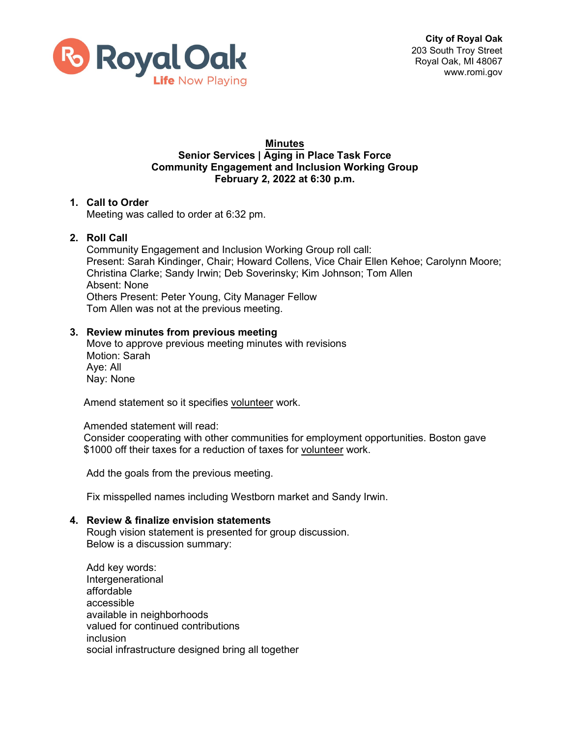

# **Minutes Senior Services | Aging in Place Task Force Community Engagement and Inclusion Working Group February 2, 2022 at 6:30 p.m.**

# **1. Call to Order** Meeting was called to order at 6:32 pm.

# **2. Roll Call**

Community Engagement and Inclusion Working Group roll call: Present: Sarah Kindinger, Chair; Howard Collens, Vice Chair Ellen Kehoe; Carolynn Moore; Christina Clarke; Sandy Irwin; Deb Soverinsky; Kim Johnson; Tom Allen Absent: None Others Present: Peter Young, City Manager Fellow Tom Allen was not at the previous meeting.

# **3. Review minutes from previous meeting**

Move to approve previous meeting minutes with revisions Motion: Sarah Aye: All Nay: None

Amend statement so it specifies volunteer work.

#### Amended statement will read:

Consider cooperating with other communities for employment opportunities. Boston gave \$1000 off their taxes for a reduction of taxes for volunteer work.

Add the goals from the previous meeting.

Fix misspelled names including Westborn market and Sandy Irwin.

#### **4. Review & finalize envision statements**

Rough vision statement is presented for group discussion. Below is a discussion summary:

Add key words: Intergenerational affordable accessible available in neighborhoods valued for continued contributions inclusion social infrastructure designed bring all together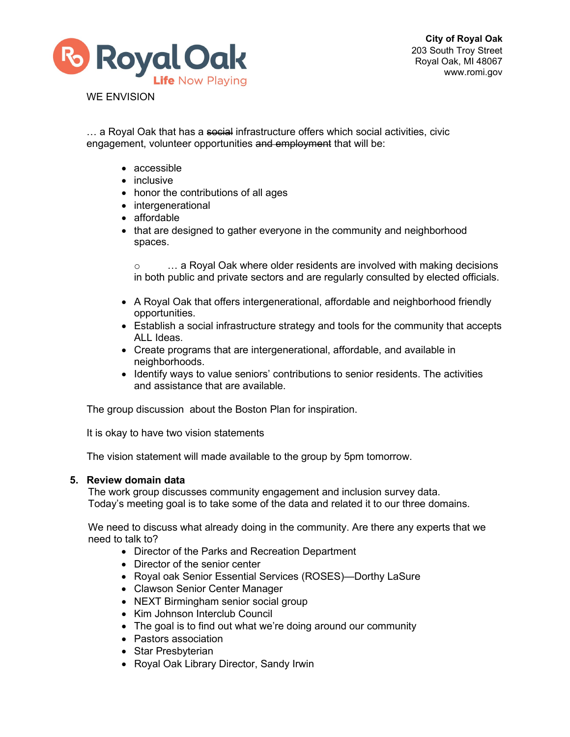

WE ENVISION

... a Royal Oak that has a social infrastructure offers which social activities, civic engagement, volunteer opportunities and employment that will be:

- accessible
- inclusive
- honor the contributions of all ages
- intergenerational
- affordable
- that are designed to gather everyone in the community and neighborhood spaces.

o … a Royal Oak where older residents are involved with making decisions in both public and private sectors and are regularly consulted by elected officials.

- A Royal Oak that offers intergenerational, affordable and neighborhood friendly opportunities.
- Establish a social infrastructure strategy and tools for the community that accepts ALL Ideas.
- Create programs that are intergenerational, affordable, and available in neighborhoods.
- Identify ways to value seniors' contributions to senior residents. The activities and assistance that are available.

The group discussion about the Boston Plan for inspiration.

It is okay to have two vision statements

The vision statement will made available to the group by 5pm tomorrow.

#### **5. Review domain data**

The work group discusses community engagement and inclusion survey data. Today's meeting goal is to take some of the data and related it to our three domains.

We need to discuss what already doing in the community. Are there any experts that we need to talk to?

- Director of the Parks and Recreation Department
- Director of the senior center
- Royal oak Senior Essential Services (ROSES)—Dorthy LaSure
- Clawson Senior Center Manager
- NEXT Birmingham senior social group
- Kim Johnson Interclub Council
- The goal is to find out what we're doing around our community
- Pastors association
- Star Presbyterian
- Royal Oak Library Director, Sandy Irwin